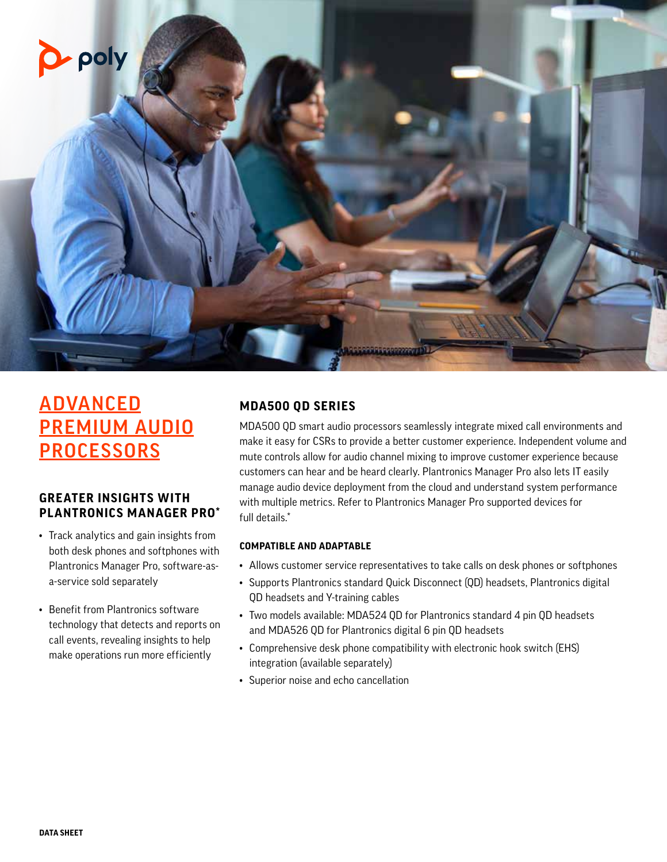

# **ADVANCED** PREMIUM AUDIO **PROCESSORS**

## **GREATER INSIGHTS WITH PLANTRONICS MANAGER PRO\***

- Track analytics and gain insights from both desk phones and softphones with Plantronics Manager Pro, software-asa-service sold separately
- Benefit from Plantronics software technology that detects and reports on call events, revealing insights to help make operations run more efficiently

# **MDA500 QD SERIES**

MDA500 QD smart audio processors seamlessly integrate mixed call environments and make it easy for CSRs to provide a better customer experience. Independent volume and mute controls allow for audio channel mixing to improve customer experience because customers can hear and be heard clearly. Plantronics Manager Pro also lets IT easily manage audio device deployment from the cloud and understand system performance with multiple metrics. Refer to Plantronics Manager Pro supported devices for full details.\*

#### **COMPATIBLE AND ADAPTABLE**

- Allows customer service representatives to take calls on desk phones or softphones
- Supports Plantronics standard Quick Disconnect (QD) headsets, Plantronics digital QD headsets and Y-training cables
- Two models available: MDA524 QD for Plantronics standard 4 pin QD headsets and MDA526 QD for Plantronics digital 6 pin QD headsets
- Comprehensive desk phone compatibility with electronic hook switch (EHS) integration (available separately)
- Superior noise and echo cancellation